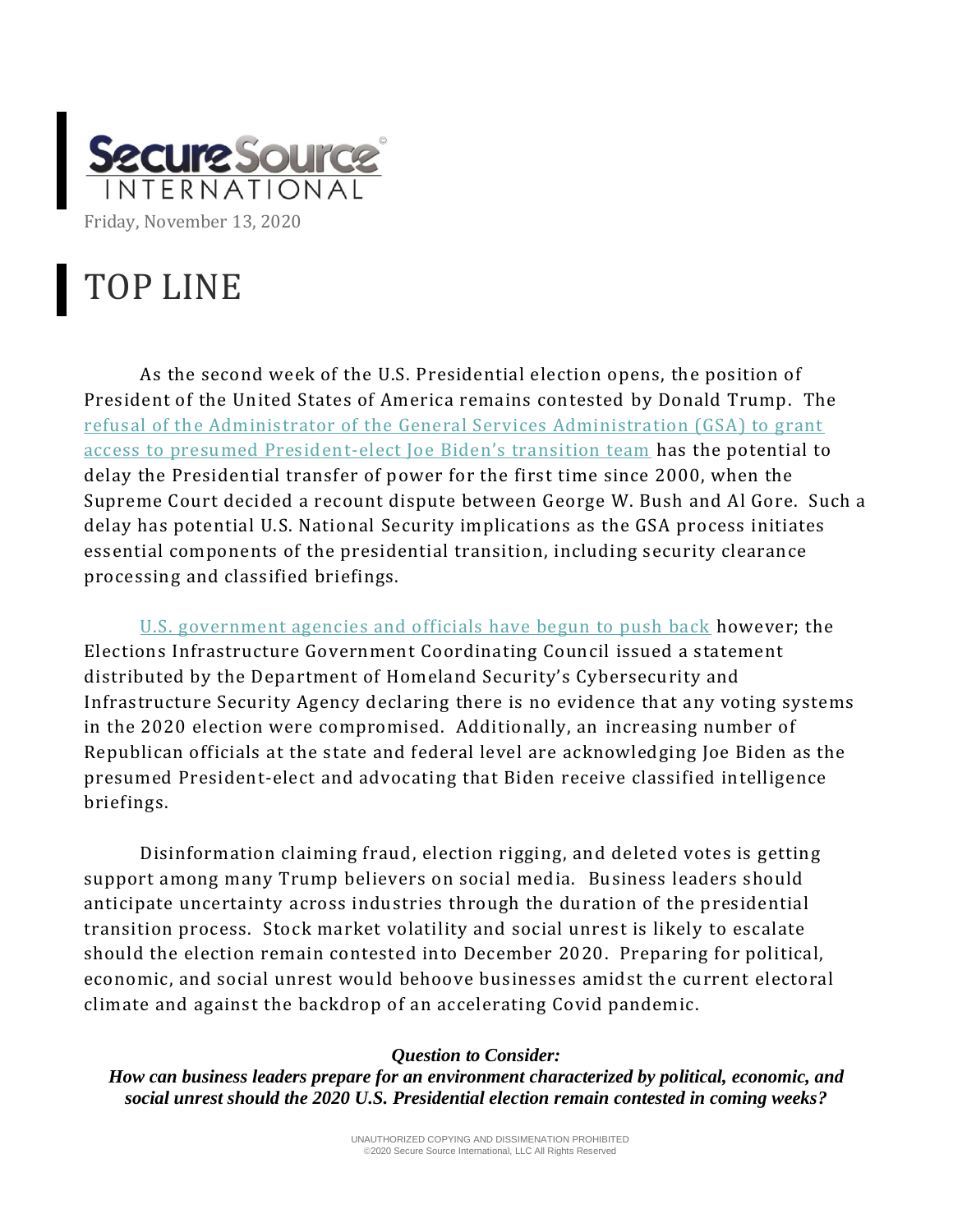

## TOP LINE

As the second week of the U.S. Presidential election opens, the position of President of the United States of America remains contested by Donald Trump. The [refusal of the Administrator of the General Services Administration \(GSA\) to grant](https://www.washingtonpost.com/politics/trump-gsa-letter-biden-transition/2020/11/08/07093acc-21e9-11eb-8672-c281c7a2c96e_story.html)  access to presumed President-[elect Joe Biden's transition team](https://www.washingtonpost.com/politics/trump-gsa-letter-biden-transition/2020/11/08/07093acc-21e9-11eb-8672-c281c7a2c96e_story.html) has the potential to delay the Presidential transfer of power for the first time since 2000, when the Supreme Court decided a recount dispute between George W. Bush and Al Gore. Such a delay has potential U.S. National Security implications as the GSA process initiates essential components of the presidential transition, including security clearance processing and classified briefings.

[U.S. government agencies and officials have begun to push back](https://www.nytimes.com/live/2020/11/12/us/joe-biden-trump#election-officials-directly-contradict-trump-on-voting-system-fraud) however; the Elections Infrastructure Government Coordinating Council issued a statement distributed by the Department of Homeland Security's Cybersecurity and Infrastructure Security Agency declaring there is no evidence that any voting systems in the 2020 election were compromised. Additionally, an increasing number of Republican officials at the state and federal level are acknowledging Joe Biden as the presumed President-elect and advocating that Biden receive classified intelligence briefings.

Disinformation claiming fraud, election rigging, and deleted votes is getting support among many Trump believers on social media. Business leaders should anticipate uncertainty across industries through the duration of the presidential transition process. Stock market volatility and social unrest is likely to escalate should the election remain contested into December 2020. Preparing for political, economic, and social unrest would behoove businesses amidst the current electoral climate and against the backdrop of an accelerating Covid pandemic.

## *Question to Consider:*

*How can business leaders prepare for an environment characterized by political, economic, and social unrest should the 2020 U.S. Presidential election remain contested in coming weeks?*